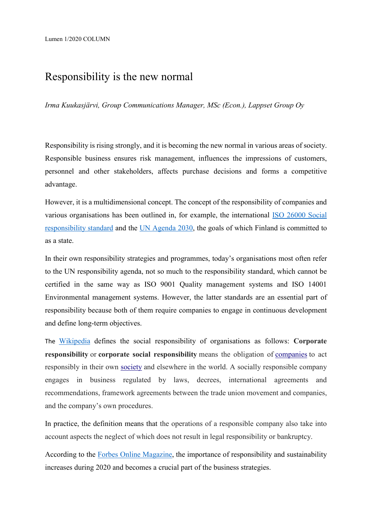# Responsibility is the new normal

*Irma Kuukasjärvi, Group Communications Manager, MSc (Econ.), Lappset Group Oy*

Responsibility is rising strongly, and it is becoming the new normal in various areas of society. Responsible business ensures risk management, influences the impressions of customers, personnel and other stakeholders, affects purchase decisions and forms a competitive advantage.

However, it is a multidimensional concept. The concept of the responsibility of companies and various organisations has been outlined in, for example, the international [ISO 26000 Social](https://www.iso.org/iso-26000-social-responsibility.html)  [responsibility standard](https://www.iso.org/iso-26000-social-responsibility.html) and the [UN Agenda 2030,](https://www.un.org/sustainabledevelopment/development-agenda/) the goals of which Finland is committed to as a state.

In their own responsibility strategies and programmes, today's organisations most often refer to the UN responsibility agenda, not so much to the responsibility standard, which cannot be certified in the same way as ISO 9001 Quality management systems and ISO 14001 Environmental management systems. However, the latter standards are an essential part of responsibility because both of them require companies to engage in continuous development and define long-term objectives.

The [Wikipedia](https://en.wikipedia.org/wiki/Social_responsibility) defines the social responsibility of organisations as follows: **Corporate responsibility** or **corporate social responsibility** means the obligation of [companies](https://en.wikipedia.org/wiki/Company) to act responsibly in their own [society](https://en.wikipedia.org/wiki/Society) and elsewhere in the world. A socially responsible company engages in business regulated by laws, decrees, international agreements and recommendations, framework agreements between the trade union movement and companies, and the company's own procedures.

In practice, the definition means that the operations of a responsible company also take into account aspects the neglect of which does not result in legal responsibility or bankruptcy.

According to the [Forbes Online Magazine,](https://www.forbes.com/sites/jonquilhackenberg/2019/11/28/2020-will-be-the-year-of-sustainable-business/#1198944661af) the importance of responsibility and sustainability increases during 2020 and becomes a crucial part of the business strategies.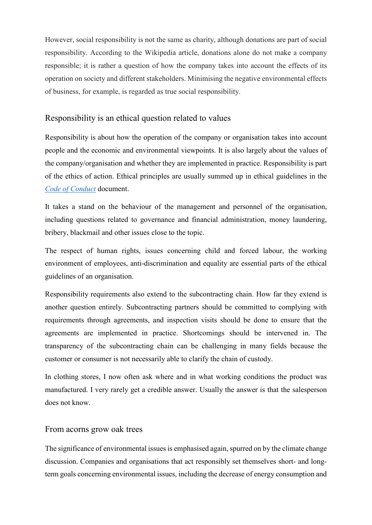However, social responsibility is not the same as charity, although donations are part of social responsibility. According to the Wikipedia article, donations alone do not make a company responsible; it is rather a question of how the company takes into account the effects of its operation on society and different stakeholders. Minimising the negative environmental effects of business, for example, is regarded as true social responsibility.

### Responsibility is an ethical question related to values

Responsibility is about how the operation of the company or organisation takes into account people and the economic and environmental viewpoints. It is also largely about the values of the company/organisation and whether they are implemented in practice. Responsibility is part of the ethics of action. Ethical principles are usually summed up in ethical guidelines in the *[Code of Conduct](https://en.wikipedia.org/wiki/Code_of_conduct)* document.

It takes a stand on the behaviour of the management and personnel of the organisation, including questions related to governance and financial administration, money laundering, bribery, blackmail and other issues close to the topic.

The respect of human rights, issues concerning child and forced labour, the working environment of employees, anti-discrimination and equality are essential parts of the ethical guidelines of an organisation.

Responsibility requirements also extend to the subcontracting chain. How far they extend is another question entirely. Subcontracting partners should be committed to complying with requirements through agreements, and inspection visits should be done to ensure that the agreements are implemented in practice. Shortcomings should be intervened in. The transparency of the subcontracting chain can be challenging in many fields because the customer or consumer is not necessarily able to clarify the chain of custody.

In clothing stores, I now often ask where and in what working conditions the product was manufactured. I very rarely get a credible answer. Usually the answer is that the salesperson does not know.

#### From acorns grow oak trees

The significance of environmental issues is emphasised again, spurred on by the climate change discussion. Companies and organisations that act responsibly set themselves short- and longterm goals concerning environmental issues, including the decrease of energy consumption and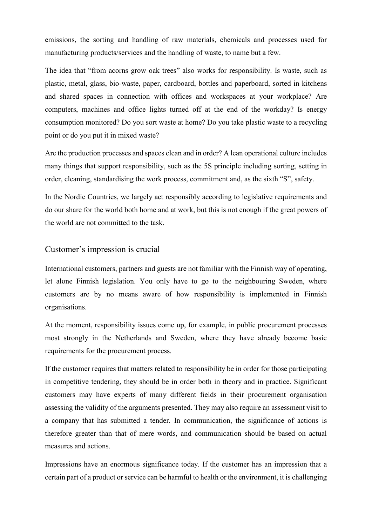emissions, the sorting and handling of raw materials, chemicals and processes used for manufacturing products/services and the handling of waste, to name but a few.

The idea that "from acorns grow oak trees" also works for responsibility. Is waste, such as plastic, metal, glass, bio-waste, paper, cardboard, bottles and paperboard, sorted in kitchens and shared spaces in connection with offices and workspaces at your workplace? Are computers, machines and office lights turned off at the end of the workday? Is energy consumption monitored? Do you sort waste at home? Do you take plastic waste to a recycling point or do you put it in mixed waste?

Are the production processes and spaces clean and in order? A lean operational culture includes many things that support responsibility, such as the 5S principle including sorting, setting in order, cleaning, standardising the work process, commitment and, as the sixth "S", safety.

In the Nordic Countries, we largely act responsibly according to legislative requirements and do our share for the world both home and at work, but this is not enough if the great powers of the world are not committed to the task.

#### Customer's impression is crucial

International customers, partners and guests are not familiar with the Finnish way of operating, let alone Finnish legislation. You only have to go to the neighbouring Sweden, where customers are by no means aware of how responsibility is implemented in Finnish organisations.

At the moment, responsibility issues come up, for example, in public procurement processes most strongly in the Netherlands and Sweden, where they have already become basic requirements for the procurement process.

If the customer requires that matters related to responsibility be in order for those participating in competitive tendering, they should be in order both in theory and in practice. Significant customers may have experts of many different fields in their procurement organisation assessing the validity of the arguments presented. They may also require an assessment visit to a company that has submitted a tender. In communication, the significance of actions is therefore greater than that of mere words, and communication should be based on actual measures and actions.

Impressions have an enormous significance today. If the customer has an impression that a certain part of a product or service can be harmful to health or the environment, it is challenging